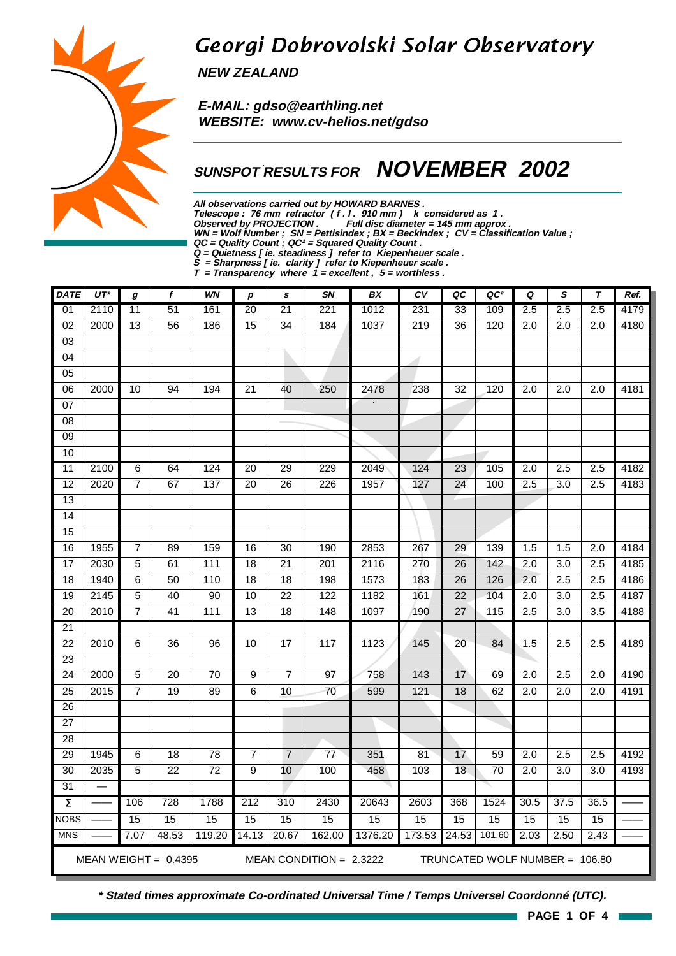# Georgi Dobrovolski Solar Observatory

**NEW ZEALAND**

 **E-MAIL: gdso@earthling.net WEBSITE: www.cv-helios.net/gdso**

### **SUNSPOT RESULTS FOR NOVEMBER 2002**

**All observations carried out by HOWARD BARNES .**

Telescope : 76 mm refractor (f. l. 910 mm) k considered as 1.

**Observed by PROJECTION . Full disc diameter = 145 mm approx .**

**WN = Wolf Number ; SN = Pettisindex ; BX = Beckindex ; CV = Classification Value ;**

**QC = Quality Count ; QC² = Squared Quality Count .**

**Q = Quietness [ ie. steadiness ] refer to Kiepenheuer scale .**

**S = Sharpness [ ie. clarity ] refer to Kiepenheuer scale .**

**T = Transparency where 1 = excellent , 5 = worthless .**

| <b>DATE</b>         | $UT^*$                                                                                | g               | f               | <b>WN</b>       | p               | s               | SN              | BX      | CV               | QC              | QC <sup>2</sup>   | Q                | S                | $\tau$           | Ref. |
|---------------------|---------------------------------------------------------------------------------------|-----------------|-----------------|-----------------|-----------------|-----------------|-----------------|---------|------------------|-----------------|-------------------|------------------|------------------|------------------|------|
| 01                  | 2110                                                                                  | 11              | 51              | 161             | 20              | $\overline{21}$ | 221             | 1012    | 231              | 33              | 109               | 2.5              | 2.5              | 2.5              | 4179 |
| $\overline{02}$     | 2000                                                                                  | 13              | $\overline{56}$ | 186             | 15              | $\overline{34}$ | 184             | 1037    | $\overline{219}$ | $\overline{36}$ | 120               | $\overline{2.0}$ | $\overline{2.0}$ | $\overline{2.0}$ | 4180 |
| $\overline{03}$     |                                                                                       |                 |                 |                 |                 |                 |                 |         |                  |                 |                   |                  |                  |                  |      |
| 04                  |                                                                                       |                 |                 |                 |                 |                 |                 |         |                  |                 |                   |                  |                  |                  |      |
| 05                  |                                                                                       |                 |                 |                 |                 |                 |                 |         |                  |                 |                   |                  |                  |                  |      |
| 06                  | 2000                                                                                  | 10              | 94              | 194             | $\overline{21}$ | 40              | 250             | 2478    | 238              | 32              | 120               | 2.0              | 2.0              | 2.0              | 4181 |
| 07                  |                                                                                       |                 |                 |                 |                 |                 |                 |         |                  |                 |                   |                  |                  |                  |      |
| $\overline{08}$     |                                                                                       |                 |                 |                 |                 |                 |                 |         |                  |                 |                   |                  |                  |                  |      |
| $\overline{09}$     |                                                                                       |                 |                 |                 |                 |                 |                 |         |                  |                 |                   |                  |                  |                  |      |
| 10                  |                                                                                       |                 |                 |                 |                 |                 |                 |         |                  |                 |                   |                  |                  |                  |      |
| 11                  | 2100                                                                                  | $\,6\,$         | 64              | 124             | 20              | 29              | 229             | 2049    | 124              | 23              | 105               | 2.0              | 2.5              | 2.5              | 4182 |
| 12                  | 2020                                                                                  | $\overline{7}$  | 67              | 137             | $\overline{20}$ | 26              | 226             | 1957    | 127              | $\overline{24}$ | 100               | 2.5              | 3.0              | $\overline{2.5}$ | 4183 |
| 13                  |                                                                                       |                 |                 |                 |                 |                 |                 |         |                  |                 |                   |                  |                  |                  |      |
| $\overline{14}$     |                                                                                       |                 |                 |                 |                 |                 |                 |         |                  |                 |                   |                  |                  |                  |      |
| 15                  |                                                                                       |                 |                 |                 |                 |                 |                 |         |                  |                 |                   |                  |                  |                  |      |
| 16                  | 1955                                                                                  | $\overline{7}$  | 89              | 159             | 16              | $\overline{30}$ | 190             | 2853    | 267              | $\overline{29}$ | $\frac{139}{2}$   | 1.5              | 1.5              | 2.0              | 4184 |
| $\overline{17}$     | 2030                                                                                  | 5               | 61              | 111             | $\overline{18}$ | $\overline{21}$ | 201             | 2116    | 270              | $\overline{26}$ | 142               | 2.0              | $\overline{3.0}$ | 2.5              | 4185 |
| 18                  | 1940                                                                                  | $\,6\,$         | 50              | 110             | 18              | 18              | 198             | 1573    | 183              | 26              | 126               | 2.0              | 2.5              | 2.5              | 4186 |
| 19                  | 2145                                                                                  | $\overline{5}$  | 40              | 90              | 10              | $\overline{22}$ | 122             | 1182    | 161              | $\overline{22}$ | 104               | 2.0              | 3.0              | $\overline{2.5}$ | 4187 |
| 20                  | 2010                                                                                  | $\overline{7}$  | $\overline{41}$ | 111             | 13              | 18              | 148             | 1097    | 190              | $\overline{27}$ | $\frac{115}{115}$ | 2.5              | $\overline{3.0}$ | $\overline{3.5}$ | 4188 |
| $\overline{21}$     |                                                                                       |                 |                 |                 |                 |                 |                 |         |                  |                 |                   |                  |                  |                  |      |
| $\overline{22}$     | 2010                                                                                  | $6\phantom{1}6$ | $\overline{36}$ | 96              | 10              | $\overline{17}$ | 117             | 1123    | 145              | 20              | 84                | $\overline{1.5}$ | $\overline{2.5}$ | $\overline{2.5}$ | 4189 |
| $\overline{23}$     |                                                                                       |                 |                 |                 |                 |                 |                 |         |                  |                 |                   |                  |                  |                  |      |
| $\overline{24}$     | 2000                                                                                  | $\overline{5}$  | $\overline{20}$ | $\overline{70}$ | 9               | $\overline{7}$  | $\overline{97}$ | 758     | 143              | 17              | 69                | $\overline{2.0}$ | $\overline{2.5}$ | $\overline{2.0}$ | 4190 |
| $\overline{25}$     | 2015                                                                                  | $\overline{7}$  | 19              | 89              | 6               | 10              | 70              | 599     | 121              | 18              | 62                | 2.0              | 2.0              | 2.0              | 4191 |
| $\overline{26}$     |                                                                                       |                 |                 |                 |                 |                 |                 |         |                  |                 |                   |                  |                  |                  |      |
| $\overline{27}$     |                                                                                       |                 |                 |                 |                 |                 |                 |         |                  |                 |                   |                  |                  |                  |      |
| $\overline{28}$     |                                                                                       |                 |                 |                 |                 |                 |                 |         |                  |                 |                   |                  |                  |                  |      |
| 29                  | 1945                                                                                  | $\,6$           | 18              | 78              | $\overline{7}$  | $\overline{7}$  | 77              | 351     | 81               | 17              | 59                | 2.0              | 2.5              | 2.5              | 4192 |
| 30                  | 2035                                                                                  | 5               | $\overline{22}$ | $\overline{72}$ | 9               | 10              | 100             | 458     | 103              | 18              | $\overline{70}$   | $\overline{2.0}$ | $\overline{3.0}$ | 3.0              | 4193 |
| 31                  |                                                                                       |                 |                 |                 |                 |                 |                 |         |                  |                 |                   |                  |                  |                  |      |
| $\overline{\Sigma}$ |                                                                                       | 106             | 728             | 1788            | 212             | 310             | 2430            | 20643   | 2603             | 368             | 1524              | 30.5             | 37.5             | 36.5             |      |
| <b>NOBS</b>         |                                                                                       | 15              | 15              | 15              | 15              | 15              | 15              | 15      | 15               | 15              | $\overline{15}$   | 15               | 15               | 15               |      |
| <b>MNS</b>          |                                                                                       | 7.07            | 48.53           | 119.20          | 14.13           | 20.67           | 162.00          | 1376.20 | 173.53           | 24.53           | 101.60            | 2.03             | 2.50             | 2.43             |      |
|                     | MEAN WEIGHT = $0.4395$<br>MEAN CONDITION = $2.3222$<br>TRUNCATED WOLF NUMBER = 106.80 |                 |                 |                 |                 |                 |                 |         |                  |                 |                   |                  |                  |                  |      |



**\* Stated times approximate Co-ordinated Universal Time / Temps Universel Coordonné (UTC).**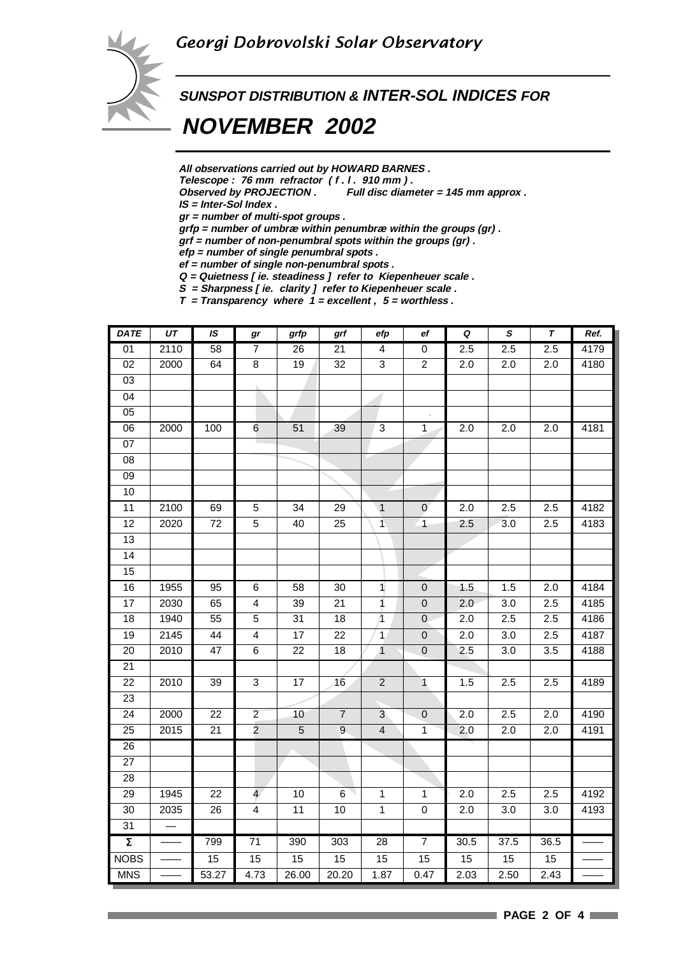

## **SUNSPOT DISTRIBUTION & INTER-SOL INDICES FOR**

# **NOVEMBER 2002**

**All observations carried out by HOWARD BARNES .**

Telescope : 76 mm refractor (f.l. 910 mm).<br>Observed by PROJECTION. Full disc diam

Full disc diameter = 145 mm approx .

**IS = Inter-Sol Index .**

**gr = number of multi-spot groups .**

**grfp = number of umbræ within penumbræ within the groups (gr) .**

**grf = number of non-penumbral spots within the groups (gr) .**

**efp = number of single penumbral spots .**

**ef = number of single non-penumbral spots . Q = Quietness [ ie. steadiness ] refer to Kiepenheuer scale .**

**S = Sharpness [ ie. clarity ] refer to Kiepenheuer scale .**

**T = Transparency where 1 = excellent , 5 = worthless .**

| <b>DATE</b>         | UT   | IS              | gr              | grfp            | grf              | efp                     | ef             | $\pmb Q$         | $\pmb{s}$        | T    | Ref. |
|---------------------|------|-----------------|-----------------|-----------------|------------------|-------------------------|----------------|------------------|------------------|------|------|
| 01                  | 2110 | $\overline{58}$ | $\overline{7}$  | 26              | $\overline{21}$  | 4                       | $\pmb{0}$      | 2.5              | 2.5              | 2.5  | 4179 |
| $\overline{02}$     | 2000 | 64              | $\overline{8}$  | 19              | $\overline{32}$  | 3                       | $\overline{2}$ | $\overline{2.0}$ | 2.0              | 2.0  | 4180 |
| 03                  |      |                 |                 |                 |                  |                         |                |                  |                  |      |      |
| $\overline{04}$     |      |                 |                 |                 |                  |                         |                |                  |                  |      |      |
| $\overline{05}$     |      |                 |                 |                 |                  |                         |                |                  |                  |      |      |
| 06                  | 2000 | 100             | 6               | 51              | 39               | 3                       | $\mathbf{1}$   | 2.0              | 2.0              | 2.0  | 4181 |
| $\overline{07}$     |      |                 |                 |                 |                  |                         |                |                  |                  |      |      |
| $\overline{08}$     |      |                 |                 |                 |                  |                         |                |                  |                  |      |      |
| 09                  |      |                 |                 |                 |                  |                         |                |                  |                  |      |      |
| 10                  |      |                 |                 |                 |                  |                         |                |                  |                  |      |      |
| 11                  | 2100 | 69              | $\overline{5}$  | $\overline{34}$ | 29               | $\overline{1}$          | $\overline{0}$ | $\overline{2.0}$ | 2.5              | 2.5  | 4182 |
| 12                  | 2020 | 72              | $\overline{5}$  | 40              | 25               | $\overline{\mathbf{1}}$ | $\overline{1}$ | 2.5              | 3.0              | 2.5  | 4183 |
| $\overline{13}$     |      |                 |                 |                 |                  |                         |                |                  |                  |      |      |
| $\overline{14}$     |      |                 |                 |                 |                  |                         |                |                  |                  |      |      |
| 15                  |      |                 |                 |                 |                  |                         |                |                  |                  |      |      |
| 16                  | 1955 | 95              | 6               | 58              | 30               | $\mathbf{1}$            | $\pmb{0}$      | 1.5              | 1.5              | 2.0  | 4184 |
| $\overline{17}$     | 2030 | 65              | 4               | 39              | 21               | $\mathbf{1}$            | $\mathbf 0$    | 2.0              | 3.0              | 2.5  | 4185 |
| 18                  | 1940 | 55              | $\overline{5}$  | 31              | $\overline{18}$  | $\overline{1}$          | $\pmb{0}$      | 2.0              | 2.5              | 2.5  | 4186 |
| $\overline{19}$     | 2145 | $\overline{44}$ | $\overline{4}$  | $\overline{17}$ | $\overline{22}$  | $\mathbf{1}$            | $\overline{0}$ | $\overline{2.0}$ | $\overline{3.0}$ | 2.5  | 4187 |
| 20                  | 2010 | $\overline{47}$ | $\overline{6}$  | $\overline{22}$ | $\overline{18}$  | $\overline{1}$          | $\pmb{0}$      | 2.5              | 3.0              | 3.5  | 4188 |
| $\overline{21}$     |      |                 |                 |                 |                  |                         |                |                  |                  |      |      |
| 22                  | 2010 | 39              | 3               | 17              | 16               | $\overline{c}$          | $\overline{1}$ | 1.5              | 2.5              | 2.5  | 4189 |
| 23                  |      |                 |                 |                 |                  |                         |                |                  |                  |      |      |
| 24                  | 2000 | 22              | $\overline{2}$  | 10              | $\boldsymbol{7}$ | 3                       | $\mathbf 0$    | 2.0              | 2.5              | 2.0  | 4190 |
| 25                  | 2015 | 21              | $\overline{2}$  | $\sqrt{5}$      | $\overline{9}$   | $\overline{\mathbf{4}}$ | 1              | 2.0              | 2.0              | 2.0  | 4191 |
| 26                  |      |                 |                 |                 |                  |                         |                |                  |                  |      |      |
| $\overline{27}$     |      |                 |                 |                 |                  |                         |                |                  |                  |      |      |
| 28                  |      |                 |                 |                 |                  |                         |                |                  |                  |      |      |
| 29                  | 1945 | 22              | $\overline{4}$  | $10$            | $\,6$            | $\mathbf{1}$            | $\mathbf{1}$   | 2.0              | 2.5              | 2.5  | 4192 |
| $\overline{30}$     | 2035 | 26              | $\overline{4}$  | $\overline{11}$ | 10               | $\overline{1}$          | $\overline{0}$ | 2.0              | 3.0              | 3.0  | 4193 |
| 31                  |      |                 |                 |                 |                  |                         |                |                  |                  |      |      |
| $\overline{\Sigma}$ |      | 799             | $\overline{71}$ | 390             | 303              | 28                      | $\overline{7}$ | 30.5             | 37.5             | 36.5 |      |
| <b>NOBS</b>         |      | 15              | 15              | 15              | 15               | 15                      | 15             | 15               | 15               | 15   |      |
| <b>MNS</b>          |      | 53.27           | 4.73            | 26.00           | 20.20            | 1.87                    | 0.47           | 2.03             | 2.50             | 2.43 |      |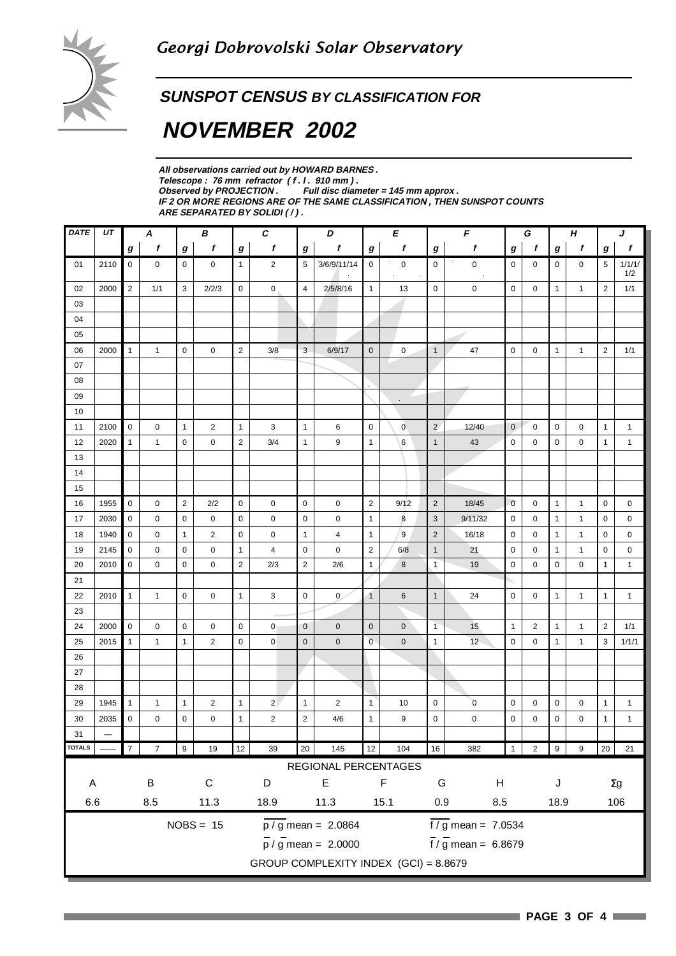### **SUNSPOT CENSUS BY CLASSIFICATION FOR**

# **NOVEMBER 2002**

| All observations carried out by HOWARD BARNES.                            |
|---------------------------------------------------------------------------|
| Telescope: 76 mm refractor (f.l. 910 mm).                                 |
| Observed by PROJECTION . Full disc diameter $= 145$ mm approx.            |
| IF 2 OR MORE REGIONS ARE OF THE SAME CLASSIFICATION . THEN SUNSPOT COUNTS |
| ARE SEPARATED BY SOLIDI (/).                                              |

| DATE                                 | UΤ   | В<br>A       |                        |                | $\pmb{C}$      | D<br>E           |                |                | F                                     |                                    | G                 |                    | Н                           |              | J           |              |              |                  |               |
|--------------------------------------|------|--------------|------------------------|----------------|----------------|------------------|----------------|----------------|---------------------------------------|------------------------------------|-------------------|--------------------|-----------------------------|--------------|-------------|--------------|--------------|------------------|---------------|
|                                      |      | g            | f                      | g              | f              | $\boldsymbol{g}$ | $\mathbf f$    | g              | f                                     | $\boldsymbol{g}$                   | f                 | $\pmb{g}$          | f                           | g            | f           | g            | $\mathbf f$  | $\boldsymbol{g}$ | f             |
| 01                                   | 2110 | $\mathbf 0$  | $\mathbf 0$            | $\mathbf 0$    | 0              | $\mathbf{1}$     | $\overline{2}$ | 5              | 3/6/9/11/14                           | $\mathbf 0$                        | $\mathbf 0$<br>à. | $\mathbf 0$        | 0                           | $\mathbf 0$  | 0           | 0            | 0            | 5                | 1/1/1/<br>1/2 |
| 02                                   | 2000 | 2            | 1/1                    | 3              | 2/2/3          | 0                | 0              | $\overline{4}$ | 2/5/8/16                              | $\mathbf{1}$                       | 13                | 0                  | 0                           | 0            | 0           | $\mathbf{1}$ | $\mathbf{1}$ | $\overline{2}$   | 1/1           |
| 03                                   |      |              |                        |                |                |                  |                |                |                                       |                                    |                   |                    |                             |              |             |              |              |                  |               |
| 04                                   |      |              |                        |                |                |                  |                |                |                                       |                                    |                   |                    |                             |              |             |              |              |                  |               |
| 05                                   |      |              |                        |                |                |                  |                |                |                                       |                                    |                   |                    |                             |              |             |              |              |                  |               |
| 06                                   | 2000 | $\mathbf{1}$ | $\mathbf{1}$           | $\mathbf 0$    | 0              | $\overline{2}$   | 3/8            | 3              | 6/9/17                                | $\mathbf 0$                        | $\mathbf 0$       | $\mathbf{1}$       | 47                          | $\mathbf 0$  | 0           | $\mathbf{1}$ | $\mathbf{1}$ | $\overline{2}$   | 1/1           |
| 07                                   |      |              |                        |                |                |                  |                |                |                                       |                                    |                   |                    |                             |              |             |              |              |                  |               |
| 08                                   |      |              |                        |                |                |                  |                |                |                                       |                                    |                   |                    |                             |              |             |              |              |                  |               |
| 09                                   |      |              |                        |                |                |                  |                |                |                                       |                                    |                   |                    |                             |              |             |              |              |                  |               |
| 10                                   |      |              |                        |                |                |                  |                |                |                                       |                                    |                   |                    |                             |              |             |              |              |                  |               |
| 11                                   | 2100 | $\pmb{0}$    | 0                      | $\mathbf{1}$   | $\overline{2}$ | $\mathbf{1}$     | 3              | $\mathbf{1}$   | 6                                     | $\mathbf 0$                        | $\pmb{0}$         | $\overline{2}$     | 12/40                       | $\mathbf{0}$ | $\mathbf 0$ | 0            | 0            | $\mathbf{1}$     | $\mathbf{1}$  |
| 12                                   | 2020 | $\mathbf{1}$ | $\mathbf{1}$           | $\mathbf 0$    | $\mathbf 0$    | $\overline{2}$   | 3/4            | $\mathbf{1}$   | 9                                     | $\mathbf{1}$                       | 6                 | $\mathbf{1}$       | 43                          | $\mathbf 0$  | $\mathbf 0$ | $\mathbf 0$  | 0            | $\mathbf{1}$     | $\mathbf{1}$  |
| 13                                   |      |              |                        |                |                |                  |                |                |                                       |                                    |                   |                    |                             |              |             |              |              |                  |               |
| 14                                   |      |              |                        |                |                |                  |                |                |                                       |                                    |                   |                    |                             |              |             |              |              |                  |               |
| 15                                   |      |              |                        |                |                |                  |                |                |                                       |                                    |                   |                    |                             |              |             |              |              |                  |               |
| 16                                   | 1955 | $\mathbf 0$  | 0                      | $\overline{2}$ | 2/2            | $\mathbf 0$      | $\mathbf 0$    | $\mathbf 0$    | 0                                     | $\overline{2}$                     | 9/12              | $\overline{2}$     | 18/45                       | $\mathbf 0$  | 0           | $\mathbf{1}$ | $\mathbf{1}$ | $\mathbf 0$      | 0             |
| 17                                   | 2030 | $\mathbf 0$  | 0                      | 0              | $\mathbf 0$    | 0                | 0              | 0              | $\mathbf 0$                           | $\mathbf{1}$                       | 8                 | 3                  | 9/11/32                     | $\mathbf 0$  | $\mathbf 0$ | $\mathbf{1}$ | $\mathbf{1}$ | $\mathbf 0$      | 0             |
| 18                                   | 1940 | $\mathbf 0$  | 0                      | $\mathbf{1}$   | 2              | $\mathbf 0$      | $\mathbf 0$    | $\mathbf{1}$   | $\overline{4}$                        | $\mathbf{1}$                       | 9                 | $\overline{2}$     | 16/18                       | 0            | $\mathbf 0$ | $\mathbf{1}$ | $\mathbf{1}$ | $\mathbf 0$      | 0             |
| 19                                   | 2145 | 0            | 0                      | $\mathbf 0$    | $\mathbf 0$    | $\mathbf{1}$     | 4              | $\mathbf 0$    | $\mathbf 0$                           | $\overline{2}$                     | 6/8               | $\mathbf{1}$       | 21                          | $\mathbf 0$  | 0           | $\mathbf{1}$ | $\mathbf{1}$ | $\mathbf 0$      | 0             |
| 20                                   | 2010 | $\mathbf 0$  | $\mathbf 0$            | $\mathbf 0$    | $\mathbf 0$    | $\overline{2}$   | 2/3            | $\overline{2}$ | 2/6                                   | $\mathbf{1}$                       | 8                 | $\mathbf{1}$       | 19                          | $\mathbf 0$  | $\mathbf 0$ | $\mathbf 0$  | 0            | $\mathbf{1}$     | $\mathbf{1}$  |
| 21                                   |      |              |                        |                |                |                  |                |                |                                       |                                    |                   |                    |                             |              |             |              |              |                  |               |
| 22                                   | 2010 | $\mathbf{1}$ | $\mathbf{1}$           | $\mathbf 0$    | 0              | $\mathbf{1}$     | 3              | $\mathbf 0$    | $\overline{0}$                        | $\mathbf{1}$                       | $6\phantom{1}6$   | $\mathbf{1}$       | 24                          | $\mathbf 0$  | 0           | $\mathbf{1}$ | $\mathbf{1}$ | $\mathbf{1}$     | $\mathbf{1}$  |
| 23                                   |      |              |                        |                |                |                  |                |                |                                       |                                    |                   |                    |                             |              |             |              |              |                  |               |
| 24                                   | 2000 | $\mathbf 0$  | 0                      | $\mathbf 0$    | $\mathbf 0$    | $\mathbf 0$      | $\mathbf{0}$   | $\mathbf 0$    | $\mathbf 0$                           | $\mathbf 0$                        | $\mathbf 0$       | $\overline{1}$     | 15                          | $\mathbf{1}$ | 2           | $\mathbf{1}$ | $\mathbf{1}$ | $\overline{2}$   | 1/1           |
| 25                                   | 2015 | $\mathbf{1}$ | $\mathbf{1}$           | $\mathbf{1}$   | $\overline{2}$ | 0                | $\mathsf 0$    | $\mathbf 0$    | $\pmb{0}$                             | $\overline{0}$                     | $\mathbf 0$       | 1                  | $12 -$                      | $\mathbf 0$  | $\mathbf 0$ | $\mathbf{1}$ | $\mathbf{1}$ | 3                | 1/1/1         |
| 26                                   |      |              |                        |                |                |                  |                |                |                                       |                                    |                   |                    |                             |              |             |              |              |                  |               |
| 27                                   |      |              |                        |                |                |                  |                |                |                                       |                                    |                   |                    |                             |              |             |              |              |                  |               |
| 28                                   |      |              |                        |                |                |                  |                |                |                                       |                                    |                   |                    |                             |              |             |              |              |                  |               |
| 29                                   | 1945 | $\mathbf{1}$ | 1                      | $\mathbf{1}$   | $\overline{2}$ | $\mathbf{1}$     | $2^{\circ}$    | $\mathbf{1}$   | $\overline{2}$                        | $\mathbf{1}$                       | 10                | $\pmb{0}$          | $\alpha$                    | $\mathbf 0$  | 0           | 0            | 0            | $\mathbf{1}$     | $\mathbf{1}$  |
| 30                                   | 2035 | $\pmb{0}$    | 0                      | $\mathbf 0$    | 0              | $\mathbf{1}$     | $\overline{c}$ | $\sqrt{2}$     | 4/6                                   | $\mathbf{1}$                       | 9                 | $\mathbf 0$        | 0                           | $\mathbf 0$  | 0           | 0            | 0            | $\mathbf{1}$     | $\mathbf{1}$  |
| 31                                   |      |              |                        |                |                |                  |                |                |                                       |                                    |                   |                    |                             |              |             |              |              |                  |               |
| <b>TOTALS</b>                        |      |              |                        | 9              | 19             | 12               | 39             | 20             | 145                                   | 12                                 | 104               | $16\,$             | 382                         |              |             |              | 9            | 20               | 21            |
|                                      |      |              |                        |                |                |                  |                |                | REGIONAL PERCENTAGES                  |                                    |                   |                    |                             |              |             |              |              |                  |               |
| A                                    |      |              | $\mathsf C$<br>$\sf B$ |                |                | E<br>$\mathsf D$ |                |                |                                       | $\mathsf F$                        | G                 | H                  | $\mathsf J$                 |              |             |              |              | $\Sigma g$       |               |
| 6.6                                  |      |              | 8.5                    |                | 11.3           |                  | 18.9           |                | 11.3                                  |                                    | 15.1              | $0.9\,$<br>$8.5\,$ |                             |              |             | 18.9         |              |                  | 106           |
| $NOBS = 15$<br>$p / g$ mean = 2.0864 |      |              |                        |                |                |                  |                |                |                                       | $\frac{1}{\sqrt{9}}$ mean = 7.0534 |                   |                    |                             |              |             |              |              |                  |               |
|                                      |      |              |                        |                |                |                  |                |                | $\frac{1}{p}$ / g mean = 2.0000       |                                    |                   |                    | $\frac{1}{2}$ mean = 6.8679 |              |             |              |              |                  |               |
|                                      |      |              |                        |                |                |                  |                |                | GROUP COMPLEXITY INDEX (GCI) = 8.8679 |                                    |                   |                    |                             |              |             |              |              |                  |               |
|                                      |      |              |                        |                |                |                  |                |                |                                       |                                    |                   |                    |                             |              |             |              |              |                  |               |